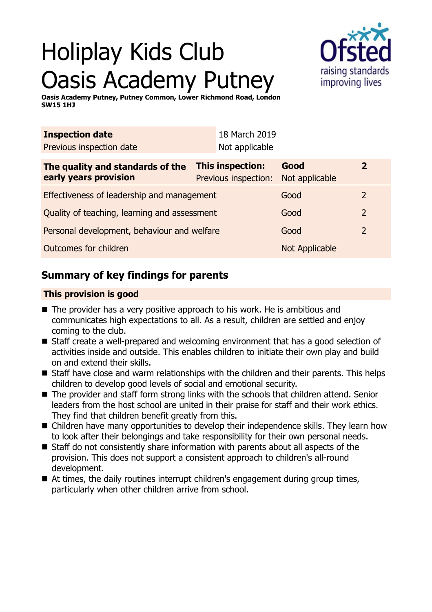# Holiplay Kids Club Oasis Academy Putney



**Oasis Academy Putney, Putney Common, Lower Richmond Road, London SW15 1HJ**

| <b>Inspection date</b>                                    |                                                 | 18 March 2019  |                        |                |
|-----------------------------------------------------------|-------------------------------------------------|----------------|------------------------|----------------|
| Previous inspection date                                  |                                                 | Not applicable |                        |                |
| The quality and standards of the<br>early years provision | <b>This inspection:</b><br>Previous inspection: |                | Good<br>Not applicable | $\overline{2}$ |
| Effectiveness of leadership and management                |                                                 |                | Good                   | 2              |
| Quality of teaching, learning and assessment              |                                                 |                | Good                   | 2              |
| Personal development, behaviour and welfare               |                                                 |                | Good                   | 2              |
| Outcomes for children                                     |                                                 |                | <b>Not Applicable</b>  |                |

## **Summary of key findings for parents**

## **This provision is good**

- $\blacksquare$  The provider has a very positive approach to his work. He is ambitious and communicates high expectations to all. As a result, children are settled and enjoy coming to the club.
- Staff create a well-prepared and welcoming environment that has a good selection of activities inside and outside. This enables children to initiate their own play and build on and extend their skills.
- Staff have close and warm relationships with the children and their parents. This helps children to develop good levels of social and emotional security.
- $\blacksquare$  The provider and staff form strong links with the schools that children attend. Senior leaders from the host school are united in their praise for staff and their work ethics. They find that children benefit greatly from this.
- Children have many opportunities to develop their independence skills. They learn how to look after their belongings and take responsibility for their own personal needs.
- $\blacksquare$  Staff do not consistently share information with parents about all aspects of the provision. This does not support a consistent approach to children's all-round development.
- $\blacksquare$  At times, the daily routines interrupt children's engagement during group times, particularly when other children arrive from school.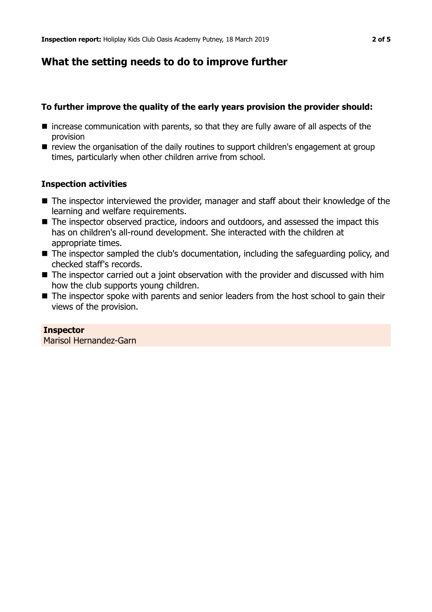## **What the setting needs to do to improve further**

### **To further improve the quality of the early years provision the provider should:**

- $\blacksquare$  increase communication with parents, so that they are fully aware of all aspects of the provision
- $\blacksquare$  review the organisation of the daily routines to support children's engagement at group times, particularly when other children arrive from school.

#### **Inspection activities**

- $\blacksquare$  The inspector interviewed the provider, manager and staff about their knowledge of the learning and welfare requirements.
- The inspector observed practice, indoors and outdoors, and assessed the impact this has on children's all-round development. She interacted with the children at appropriate times.
- The inspector sampled the club's documentation, including the safeguarding policy, and checked staff's records.
- $\blacksquare$  The inspector carried out a joint observation with the provider and discussed with him how the club supports young children.
- $\blacksquare$  The inspector spoke with parents and senior leaders from the host school to gain their views of the provision.

# **Inspector**

Marisol Hernandez-Garn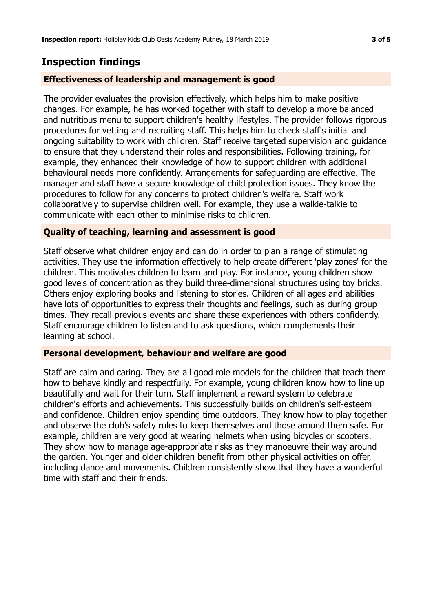## **Inspection findings**

#### **Effectiveness of leadership and management is good**

The provider evaluates the provision effectively, which helps him to make positive changes. For example, he has worked together with staff to develop a more balanced and nutritious menu to support children's healthy lifestyles. The provider follows rigorous procedures for vetting and recruiting staff. This helps him to check staff's initial and ongoing suitability to work with children. Staff receive targeted supervision and guidance to ensure that they understand their roles and responsibilities. Following training, for example, they enhanced their knowledge of how to support children with additional behavioural needs more confidently. Arrangements for safeguarding are effective. The manager and staff have a secure knowledge of child protection issues. They know the procedures to follow for any concerns to protect children's welfare. Staff work collaboratively to supervise children well. For example, they use a walkie-talkie to communicate with each other to minimise risks to children.

#### **Quality of teaching, learning and assessment is good**

Staff observe what children enjoy and can do in order to plan a range of stimulating activities. They use the information effectively to help create different 'play zones' for the children. This motivates children to learn and play. For instance, young children show good levels of concentration as they build three-dimensional structures using toy bricks. Others enjoy exploring books and listening to stories. Children of all ages and abilities have lots of opportunities to express their thoughts and feelings, such as during group times. They recall previous events and share these experiences with others confidently. Staff encourage children to listen and to ask questions, which complements their learning at school.

#### **Personal development, behaviour and welfare are good**

Staff are calm and caring. They are all good role models for the children that teach them how to behave kindly and respectfully. For example, young children know how to line up beautifully and wait for their turn. Staff implement a reward system to celebrate children's efforts and achievements. This successfully builds on children's self-esteem and confidence. Children enjoy spending time outdoors. They know how to play together and observe the club's safety rules to keep themselves and those around them safe. For example, children are very good at wearing helmets when using bicycles or scooters. They show how to manage age-appropriate risks as they manoeuvre their way around the garden. Younger and older children benefit from other physical activities on offer, including dance and movements. Children consistently show that they have a wonderful time with staff and their friends.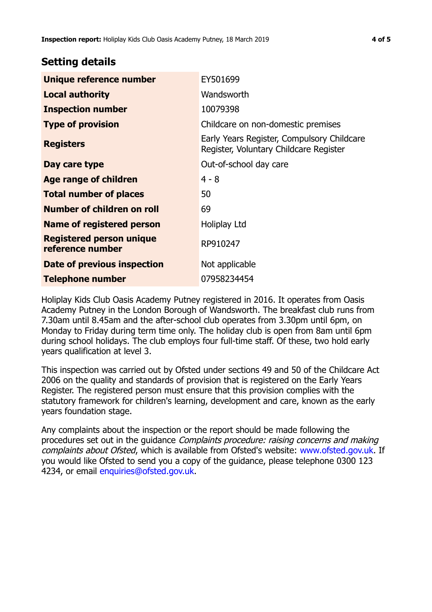## **Setting details**

| Unique reference number                             | EY501699                                                                             |  |
|-----------------------------------------------------|--------------------------------------------------------------------------------------|--|
| <b>Local authority</b>                              | Wandsworth                                                                           |  |
| <b>Inspection number</b>                            | 10079398                                                                             |  |
| <b>Type of provision</b>                            | Childcare on non-domestic premises                                                   |  |
| <b>Registers</b>                                    | Early Years Register, Compulsory Childcare<br>Register, Voluntary Childcare Register |  |
| Day care type                                       | Out-of-school day care                                                               |  |
| Age range of children                               | $4 - 8$                                                                              |  |
| <b>Total number of places</b>                       | 50                                                                                   |  |
| Number of children on roll                          | 69                                                                                   |  |
| <b>Name of registered person</b>                    | Holiplay Ltd                                                                         |  |
| <b>Registered person unique</b><br>reference number | RP910247                                                                             |  |
| <b>Date of previous inspection</b>                  | Not applicable                                                                       |  |
| <b>Telephone number</b>                             | 07958234454                                                                          |  |

Holiplay Kids Club Oasis Academy Putney registered in 2016. It operates from Oasis Academy Putney in the London Borough of Wandsworth. The breakfast club runs from 7.30am until 8.45am and the after-school club operates from 3.30pm until 6pm, on Monday to Friday during term time only. The holiday club is open from 8am until 6pm during school holidays. The club employs four full-time staff. Of these, two hold early years qualification at level 3.

This inspection was carried out by Ofsted under sections 49 and 50 of the Childcare Act 2006 on the quality and standards of provision that is registered on the Early Years Register. The registered person must ensure that this provision complies with the statutory framework for children's learning, development and care, known as the early years foundation stage.

Any complaints about the inspection or the report should be made following the procedures set out in the guidance Complaints procedure: raising concerns and making complaints about Ofsted, which is available from Ofsted's website: www.ofsted.gov.uk. If you would like Ofsted to send you a copy of the guidance, please telephone 0300 123 4234, or email [enquiries@ofsted.gov.uk.](mailto:enquiries@ofsted.gov.uk)